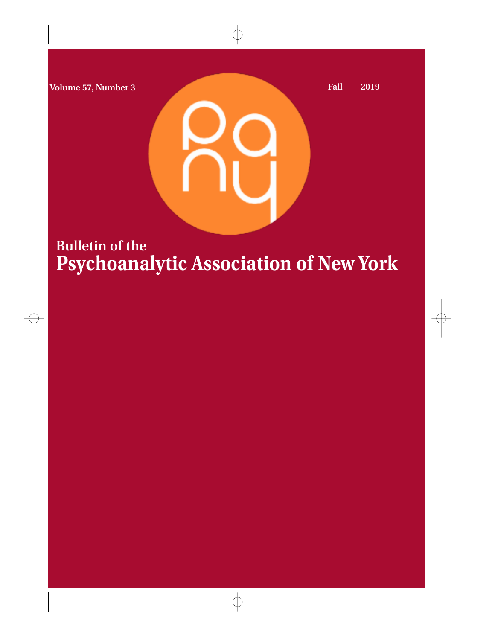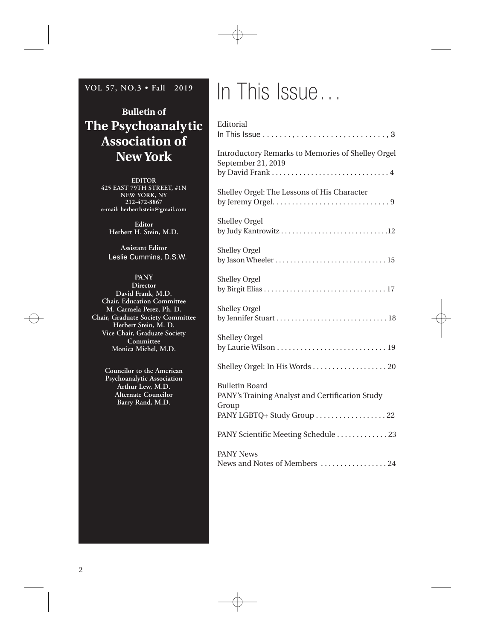### **VOL 57, NO.3 • Fall 2019**

### **Bulletin of The Psychoanalytic Association of New York**

**EDITOR 425 EAST 79TH STREET, #1N NEW YORK, NY 212-472-8867 e-mail: herberthstein@gmail.com**

> **Editor Herbert H. Stein, M.D.**

**Assistant Editor** Leslie Cummins, D.S.W.

### **PANY**

**Director David Frank, M.D. Chair, Education Committee M. Carmela Perez, Ph. D. Chair, Graduate Society Committee Herbert Stein, M. D. Vice Chair, Graduate Society Committee Monica Michel, M.D.**

> **Councilor to the American Psychoanalytic Association Arthur Lew, M.D. Alternate Councilor Barry Rand, M.D.**

# In This Issue…

| Editorial<br>In This Issue $\ldots, \ldots, \ldots, \ldots, \ldots, \ldots, \ldots, 3$                                        |
|-------------------------------------------------------------------------------------------------------------------------------|
| <b>Introductory Remarks to Memories of Shelley Orgel</b><br>September 21, 2019                                                |
| Shelley Orgel: The Lessons of His Character<br>by Jeremy Orgel. $\dots \dots \dots \dots \dots \dots \dots \dots \dots \dots$ |
| <b>Shelley Orgel</b><br>by Judy Kantrowitz 12                                                                                 |
| <b>Shelley Orgel</b><br>by Jason Wheeler $\dots\dots\dots\dots\dots\dots\dots\dots\dots\dots$                                 |
| <b>Shelley Orgel</b>                                                                                                          |
| <b>Shelley Orgel</b>                                                                                                          |
| <b>Shelley Orgel</b>                                                                                                          |
|                                                                                                                               |
| <b>Bulletin Board</b><br>PANY's Training Analyst and Certification Study<br>Group                                             |
| PANY LGBTQ+ Study Group 22                                                                                                    |
| PANY Scientific Meeting Schedule 23                                                                                           |
| <b>PANY News</b>                                                                                                              |
| News and Notes of Members 24                                                                                                  |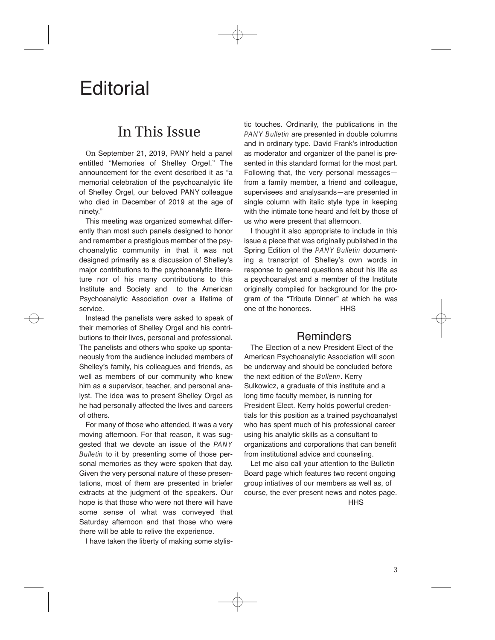## **Editorial**

### In This Issue

On September 21, 2019, PANY held a panel entitled "Memories of Shelley Orgel." The announcement for the event described it as "a memorial celebration of the psychoanalytic life of Shelley Orgel, our beloved PANY colleague who died in December of 2019 at the age of ninety."

This meeting was organized somewhat differently than most such panels designed to honor and remember a prestigious member of the psychoanalytic community in that it was not designed primarily as a discussion of Shelley's major contributions to the psychoanalytic literature nor of his many contributions to this Institute and Society and to the American Psychoanalytic Association over a lifetime of service.

Instead the panelists were asked to speak of their memories of Shelley Orgel and his contributions to their lives, personal and professional. The panelists and others who spoke up spontaneously from the audience included members of Shelley's family, his colleagues and friends, as well as members of our community who knew him as a supervisor, teacher, and personal analyst. The idea was to present Shelley Orgel as he had personally affected the lives and careers of others.

For many of those who attended, it was a very moving afternoon. For that reason, it was suggested that we devote an issue of the PANY Bulletin to it by presenting some of those personal memories as they were spoken that day. Given the very personal nature of these presentations, most of them are presented in briefer extracts at the judgment of the speakers. Our hope is that those who were not there will have some sense of what was conveyed that Saturday afternoon and that those who were there will be able to relive the experience.

I have taken the liberty of making some stylis-

tic touches. Ordinarily, the publications in the PANY Bulletin are presented in double columns and in ordinary type. David Frank's introduction as moderator and organizer of the panel is presented in this standard format for the most part. Following that, the very personal messages from a family member, a friend and colleague, supervisees and analysands—are presented in single column with italic style type in keeping with the intimate tone heard and felt by those of us who were present that afternoon.

I thought it also appropriate to include in this issue a piece that was originally published in the Spring Edition of the PANY Bulletin documenting a transcript of Shelley's own words in response to general questions about his life as a psychoanalyst and a member of the Institute originally compiled for background for the program of the "Tribute Dinner" at which he was one of the honorees. HHS

### **Reminders**

The Election of a new President Elect of the American Psychoanalytic Association will soon be underway and should be concluded before the next edition of the Bulletin. Kerry Sulkowicz, a graduate of this institute and a long time faculty member, is running for President Elect. Kerry holds powerful credentials for this position as a trained psychoanalyst who has spent much of his professional career using his analytic skills as a consultant to organizations and corporations that can benefit from institutional advice and counseling.

Let me also call your attention to the Bulletin Board page which features two recent ongoing group intiatives of our members as well as, of course, the ever present news and notes page.

**HHS**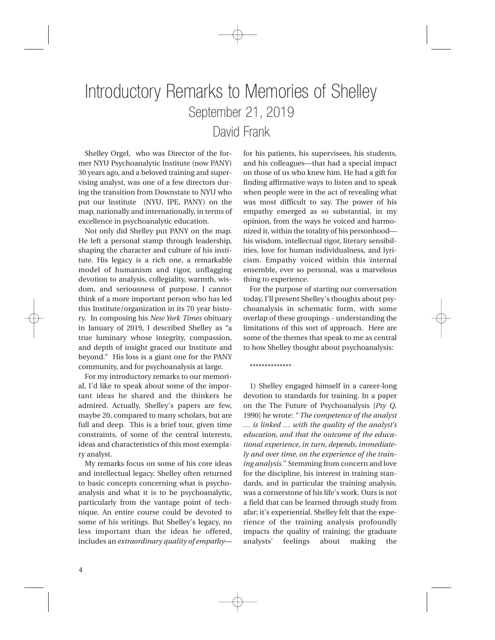## Introductory Remarks to Memories of Shelley September 21, 2019 David Frank

Shelley Orgel, who was Director of the former NYU Psychoanalytic Institute (now PANY) 30 years ago, and a beloved training and supervising analyst, was one of a few directors during the transition from Downstate to NYU who put our Institute (NYU, IPE, PANY) on the map, nationally and internationally, in terms of excellence in psychoanalytic education.

Not only did Shelley put PANY on the map. He left a personal stamp through leadership, shaping the character and culture of his institute. His legacy is a rich one, a remarkable model of humanism and rigor, unflagging devotion to analysis, collegiality, warmth, wisdom, and seriousness of purpose. I cannot think of a more important person who has led this Institute/organization in its 70 year history. In composing his *New York Times* obituary in January of 2019, I described Shelley as "a true luminary whose integrity, compassion, and depth of insight graced our Institute and beyond." His loss is a giant one for the PANY community, and for psychoanalysis at large.

For my introductory remarks to our memorial, I'd like to speak about some of the important ideas he shared and the thinkers he admired. Actually, Shelley's papers are few, maybe 20, compared to many scholars, but are full and deep. This is a brief tour, given time constraints, of some of the central interests, ideas and characteristics of this most exemplary analyst.

My remarks focus on some of his core ideas and intellectual legacy. Shelley often returned to basic concepts concerning what is psychoanalysis and what it is to be psychoanalytic, particularly from the vantage point of technique. An entire course could be devoted to some of his writings. But Shelley's legacy, no less important than the ideas he offered, includes an *extraordinary quality of empathy*— for his patients, his supervisees, his students, and his colleagues—that had a special impact on those of us who knew him. He had a gift for finding affirmative ways to listen and to speak when people were in the act of revealing what was most difficult to say. The power of his empathy emerged as so substantial, in my opinion, from the ways he voiced and harmonized it, within the totality of his personhood his wisdom, intellectual rigor, literary sensibilities, love for human individualness, and lyricism. Empathy voiced within this internal ensemble, ever so personal, was a marvelous thing to experience.

For the purpose of starting our conversation today, I'll present Shelley's thoughts about psychoanalysis in schematic form, with some overlap of these groupings - understanding the limitations of this sort of approach. Here are some of the themes that speak to me as central to how Shelley thought about psychoanalysis:

\*\*\*\*\*\*\*\*\*\*\*\*\*\*

1) Shelley engaged himself in a career-long devotion to standards for training. In a paper on the The Future of Psychoanalysis [*Psy Q,* 1990] he wrote: *" The competence of the analyst … is linked … with the quality of the analyst's education, and that the outcome of the educational experience, in turn, depends, immediately and over time, on the experience of the training analysis."* Stemming from concern and love for the discipline, his interest in training standards, and in particular the training analysis, was a cornerstone of his life's work. Ours is not a field that can be learned through study from afar; it's experiential. Shelley felt that the experience of the training analysis profoundly impacts the quality of training; the graduate analysts' feelings about making the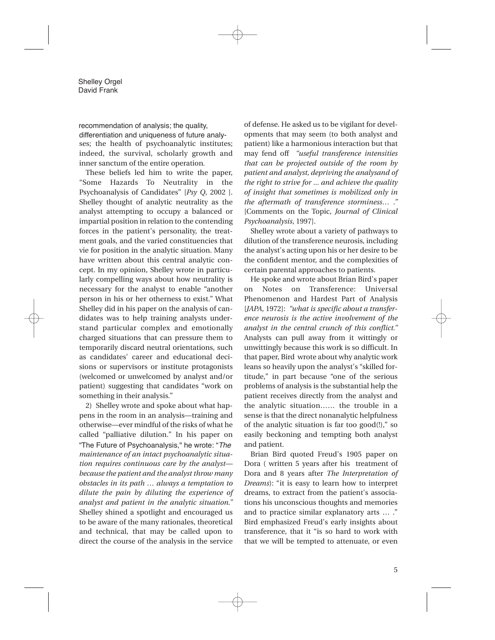recommendation of analysis; the quality,

ses; the health of psychoanalytic institutes; indeed, the survival, scholarly growth and inner sanctum of the entire operation*.* differentiation and uniqueness of future analy-

These beliefs led him to write the paper, "Some Hazards To Neutrality in the Psychoanalysis of Candidates" [*Psy Q*, 2002 ]. Shelley thought of analytic neutrality as the analyst attempting to occupy a balanced or impartial position in relation to the contending forces in the patient's personality, the treatment goals, and the varied constituencies that vie for position in the analytic situation. Many have written about this central analytic concept. In my opinion, Shelley wrote in particularly compelling ways about how neutrality is necessary for the analyst to enable "another person in his or her otherness to exist." What Shelley did in his paper on the analysis of candidates was to help training analysts understand particular complex and emotionally charged situations that can pressure them to temporarily discard neutral orientations, such as candidates' career and educational decisions or supervisors or institute protagonists (welcomed or unwelcomed by analyst and/or patient) suggesting that candidates "work on something in their analysis."

2) Shelley wrote and spoke about what happens in the room in an analysis—training and otherwise—ever mindful of the risks of what he called "palliative dilution." In his paper on *maintenance of an intact psychoanalytic situation requires continuous care by the analyst because the patient and the analyst throw many obstacles in its path … always a temptation to dilute the pain by diluting the experience of analyst and patient in the analytic situation."* Shelley shined a spotlight and encouraged us to be aware of the many rationales, theoretical and technical, that may be called upon to direct the course of the analysis in the service "The Future of Psychoanalysis," he wrote: "*The*

of defense. He asked us to be vigilant for developments that may seem (to both analyst and patient) like a harmonious interaction but that may fend off *"useful transference intensities that can be projected outside of the room by patient and analyst, depriving the analysand of the right to strive for ... and achieve the quality of insight that sometimes is mobilized only in the aftermath of transference storminess… ."* [Comments on the Topic, *Journal of Clinical Psychoanalysis*, 1997].

Shelley wrote about a variety of pathways to dilution of the transference neurosis, including the analyst's acting upon his or her desire to be the confident mentor, and the complexities of certain parental approaches to patients.

He spoke and wrote about Brian Bird's paper on Notes on Transference: Universal Phenomenon and Hardest Part of Analysis [*JAPA*, 1972]: *"what is specific about a transference neurosis is the active involvement of the analyst in the central crunch of this conflict."* Analysts can pull away from it wittingly or unwittingly because this work is so difficult. In that paper, Bird wrote about why analytic work leans so heavily upon the analyst's "skilled fortitude," in part because "one of the serious problems of analysis is the substantial help the patient receives directly from the analyst and the analytic situation…… the trouble in a sense is that the direct nonanalytic helpfulness of the analytic situation is far too good(!)," so easily beckoning and tempting both analyst and patient.

Brian Bird quoted Freud's 1905 paper on Dora ( written 5 years after his treatment of Dora and 8 years after *The Interpretation of Dreams*): "it is easy to learn how to interpret dreams, to extract from the patient's associations his unconscious thoughts and memories and to practice similar explanatory arts … ." Bird emphasized Freud's early insights about transference, that it "is so hard to work with that we will be tempted to attenuate, or even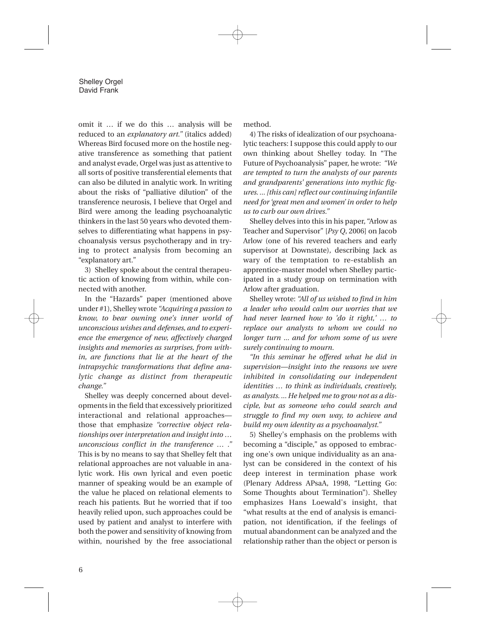omit it … if we do this … analysis will be reduced to an *explanatory art."* (italics added) Whereas Bird focused more on the hostile negative transference as something that patient and analyst evade, Orgel was just as attentive to all sorts of positive transferential elements that can also be diluted in analytic work. In writing about the risks of "palliative dilution" of the transference neurosis, I believe that Orgel and Bird were among the leading psychoanalytic thinkers in the last 50 years who devoted themselves to differentiating what happens in psychoanalysis versus psychotherapy and in trying to protect analysis from becoming an "explanatory art."

3) Shelley spoke about the central therapeutic action of knowing from within, while connected with another.

In the "Hazards" paper (mentioned above under #1), Shelley wrote *"Acquiring a passion to know, to bear owning one's inner world of unconscious wishes and defenses, and to experience the emergence of new, affectively charged insights and memories as surprises, from within, are functions that lie at the heart of the intrapsychic transformations that define analytic change as distinct from therapeutic change."*

Shelley was deeply concerned about developments in the field that excessively prioritized interactional and relational approaches those that emphasize *"corrective object relationships over interpretation and insight into … unconscious conflict in the transference … ."* This is by no means to say that Shelley felt that relational approaches are not valuable in analytic work. His own lyrical and even poetic manner of speaking would be an example of the value he placed on relational elements to reach his patients. But he worried that if too heavily relied upon, such approaches could be used by patient and analyst to interfere with both the power and sensitivity of knowing from within, nourished by the free associational method.

4) The risks of idealization of our psychoanalytic teachers: I suppose this could apply to our own thinking about Shelley today. In "The Future of Psychoanalysis" paper, he wrote: *"We are tempted to turn the analysts of our parents and grandparents' generations into mythic figures. ...[this can] reflect our continuing infantile need for 'great men and women' in order to help us to curb our own drives."*

Shelley delves into this in his paper, "Arlow as Teacher and Supervisor" [*Psy Q*, 2006] on Jacob Arlow (one of his revered teachers and early supervisor at Downstate), describing Jack as wary of the temptation to re-establish an apprentice-master model when Shelley participated in a study group on termination with Arlow after graduation.

Shelley wrote: *"All of us wished to find in him a leader who would calm our worries that we had never learned how to 'do it right,' … to replace our analysts to whom we could no longer turn ... and for whom some of us were surely continuing to mourn.*

*"In this seminar he offered what he did in supervision—insight into the reasons we were inhibited in consolidating our independent identities … to think as individuals, creatively, as analysts. ... He helped me to grow not as a disciple, but as someone who could search and struggle to find my own way, to achieve and build my own identity as a psychoanalyst."*

5) Shelley's emphasis on the problems with becoming a "disciple," as opposed to embracing one's own unique individuality as an analyst can be considered in the context of his deep interest in termination phase work (Plenary Address APsaA, 1998, "Letting Go: Some Thoughts about Termination"). Shelley emphasizes Hans Loewald's insight, that "what results at the end of analysis is emancipation, not identification, if the feelings of mutual abandonment can be analyzed and the relationship rather than the object or person is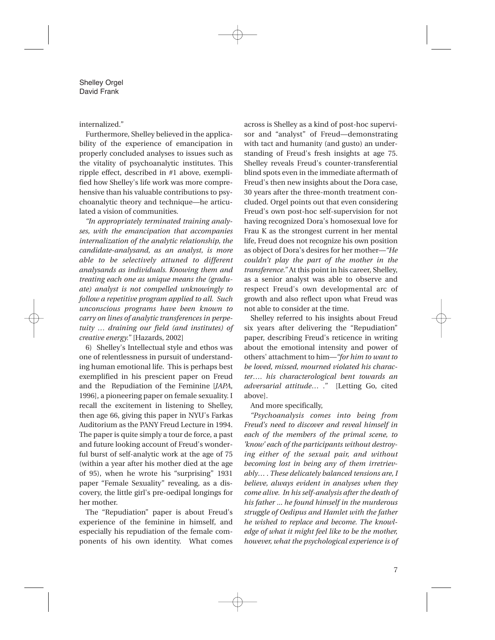#### internalized."

Furthermore, Shelley believed in the applicability of the experience of emancipation in properly concluded analyses to issues such as the vitality of psychoanalytic institutes. This ripple effect, described in #1 above, exemplified how Shelley's life work was more comprehensive than his valuable contributions to psychoanalytic theory and technique—he articulated a vision of communities.

*"In appropriately terminated training analyses, with the emancipation that accompanies internalization of the analytic relationship, the candidate-analysand, as an analyst, is more able to be selectively attuned to different analysands as individuals. Knowing them and treating each one as unique means the (graduate) analyst is not compelled unknowingly to follow a repetitive program applied to all. Such unconscious programs have been known to carry on lines of analytic transferences in perpetuity … draining our field (and institutes) of creative energy."* [Hazards, 2002]

6) Shelley's Intellectual style and ethos was one of relentlessness in pursuit of understanding human emotional life. This is perhaps best exemplified in his prescient paper on Freud and the Repudiation of the Feminine [*JAPA*, 1996], a pioneering paper on female sexuality. I recall the excitement in listening to Shelley, then age 66, giving this paper in NYU's Farkas Auditorium as the PANY Freud Lecture in 1994. The paper is quite simply a tour de force, a past and future looking account of Freud's wonderful burst of self-analytic work at the age of 75 (within a year after his mother died at the age of 95), when he wrote his "surprising" 1931 paper "Female Sexuality" revealing, as a discovery, the little girl's pre-oedipal longings for her mother.

The "Repudiation" paper is about Freud's experience of the feminine in himself, and especially his repudiation of the female components of his own identity. What comes across is Shelley as a kind of post-hoc supervisor and "analyst" of Freud—demonstrating with tact and humanity (and gusto) an understanding of Freud's fresh insights at age 75. Shelley reveals Freud's counter-transferential blind spots even in the immediate aftermath of Freud's then new insights about the Dora case, 30 years after the three-month treatment concluded. Orgel points out that even considering Freud's own post-hoc self-supervision for not having recognized Dora's homosexual love for Frau K as the strongest current in her mental life, Freud does not recognize his own position as object of Dora's desires for her mother—*"He couldn't play the part of the mother in the transference."* At this point in his career, Shelley, as a senior analyst was able to observe and respect Freud's own developmental arc of growth and also reflect upon what Freud was not able to consider at the time.

Shelley referred to his insights about Freud six years after delivering the "Repudiation" paper, describing Freud's reticence in writing about the emotional intensity and power of others' attachment to him—*"for him to want to be loved, missed, mourned violated his character…. his characterological bent towards an adversarial attitude… ."* [Letting Go, cited above].

#### And more specifically,

*"Psychoanalysis comes into being from Freud's need to discover and reveal himself in each of the members of the primal scene, to 'know' each of the participants without destroying either of the sexual pair, and without becoming lost in being any of them irretrievably… . These delicately balanced tensions are, I believe, always evident in analyses when they come alive. In his self-analysis after the death of his father ... he found himself in the murderous struggle of Oedipus and Hamlet with the father he wished to replace and become. The knowledge of what it might feel like to be the mother, however, what the psychological experience is of*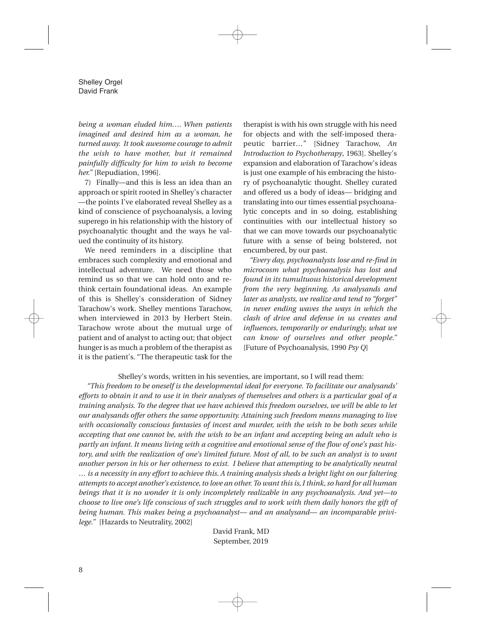*being a woman eluded him…. When patients imagined and desired him as a woman, he turned away. It took awesome courage to admit the wish to have mother, but it remained painfully difficulty for him to wish to become her."* [Repudiation, 1996].

7) Finally—and this is less an idea than an approach or spirit rooted in Shelley's character —the points I've elaborated reveal Shelley as a kind of conscience of psychoanalysis, a loving superego in his relationship with the history of psychoanalytic thought and the ways he valued the continuity of its history.

We need reminders in a discipline that embraces such complexity and emotional and intellectual adventure. We need those who remind us so that we can hold onto and rethink certain foundational ideas. An example of this is Shelley's consideration of Sidney Tarachow's work. Shelley mentions Tarachow, when interviewed in 2013 by Herbert Stein. Tarachow wrote about the mutual urge of patient and of analyst to acting out; that object hunger is as much a problem of the therapist as it is the patient's. "The therapeutic task for the therapist is with his own struggle with his need for objects and with the self-imposed therapeutic barrier…" [Sidney Tarachow, *An Introduction to Psychotherapy*, 1963]. Shelley's expansion and elaboration of Tarachow's ideas is just one example of his embracing the history of psychoanalytic thought. Shelley curated and offered us a body of ideas— bridging and translating into our times essential psychoanalytic concepts and in so doing, establishing continuities with our intellectual history so that we can move towards our psychoanalytic future with a sense of being bolstered, not encumbered, by our past.

*"Every day, psychoanalysts lose and re-find in microcosm what psychoanalysis has lost and found in its tumultuous historical development from the very beginning. As analysands and later as analysts, we realize and tend to "forget" in never ending waves the ways in which the clash of drive and defense in us creates and influences, temporarily or enduringly, what we can know of ourselves and other people."* [Future of Psychoanalysis, 1990 *Psy Q*]

#### Shelley's words, written in his seventies, are important, so I will read them:

*"This freedom to be oneself is the developmental ideal for everyone. To facilitate our analysands' efforts to obtain it and to use it in their analyses of themselves and others is a particular goal of a training analysis. To the degree that we have achieved this freedom ourselves, we will be able to let our analysands offer others the same opportunity. Attaining such freedom means managing to live with occasionally conscious fantasies of incest and murder, with the wish to be both sexes while accepting that one cannot be, with the wish to be an infant and accepting being an adult who is partly an infant. It means living with a cognitive and emotional sense of the flow of one's past history, and with the realization of one's limited future. Most of all, to be such an analyst is to want another person in his or her otherness to exist. I believe that attempting to be analytically neutral … is a necessity in any effort to achieve this. A training analysis sheds a bright light on our faltering attempts to accept another's existence,to love an other. To want this is,I think,so hard for all human beings that it is no wonder it is only incompletely realizable in any psychoanalysis. And yet—to choose to live one's life conscious of such struggles and to work with them daily honors the gift of being human. This makes being a psychoanalyst— and an analysand— an incomparable privilege."* [Hazards to Neutrality, 2002]

> David Frank, MD September, 2019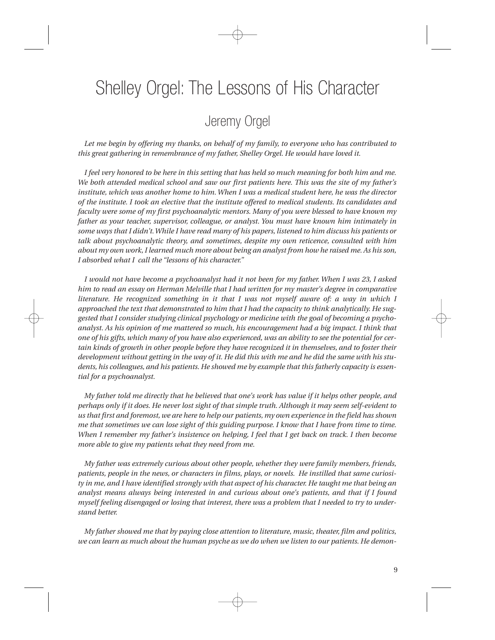## Shelley Orgel: The Lessons of His Character

### Jeremy Orgel

*Let me begin by offering my thanks, on behalf of my family, to everyone who has contributed to this great gathering in remembrance of my father, Shelley Orgel. He would have loved it.*

*I feel very honored to be here in this setting that has held so much meaning for both him and me. We both attended medical school and saw our first patients here. This was the site of my father's institute, which was another home to him.When I was a medical student here, he was the director of the institute. I took an elective that the institute offered to medical students. Its candidates and faculty were some of my first psychoanalytic mentors. Many of you were blessed to have known my father as your teacher, supervisor, colleague, or analyst. You must have known him intimately in some ways that I didn't.While I have read many of his papers, listened to him discuss his patients or talk about psychoanalytic theory, and sometimes, despite my own reticence, consulted with him about my own work,I learned much more about being an analyst from how he raised me. As his son, I absorbed what I call the "lessons of his character."*

*I would not have become a psychoanalyst had it not been for my father. When I was 23, I asked him to read an essay on Herman Melville that I had written for my master's degree in comparative literature. He recognized something in it that I was not myself aware of: a way in which I approached the text that demonstrated to him that I had the capacity to think analytically. He suggested that I consider studying clinical psychology or medicine with the goal of becoming a psychoanalyst. As his opinion of me mattered so much, his encouragement had a big impact. I think that one of his gifts, which many of you have also experienced, was an ability to see the potential for certain kinds of growth in other people before they have recognized it in themselves, and to foster their development without getting in the way of it. He did this with me and he did the same with his students, his colleagues, and his patients. He showed me by example that this fatherly capacity is essential for a psychoanalyst.*

*My father told me directly that he believed that one's work has value if it helps other people, and perhaps only if it does. He never lost sight of that simple truth. Although it may seem self-evident to us that first and foremost, we are here to help our patients, my own experience in the field has shown me that sometimes we can lose sight of this guiding purpose. I know that I have from time to time. When I remember my father's insistence on helping, I feel that I get back on track. I then become more able to give my patients what they need from me.*

*My father was extremely curious about other people, whether they were family members, friends, patients, people in the news, or characters in films, plays, or novels. He instilled that same curiosity in me, and I have identified strongly with that aspect of his character. He taught me that being an analyst means always being interested in and curious about one's patients, and that if I found myself feeling disengaged or losing that interest, there was a problem that I needed to try to understand better.*

*My father showed me that by paying close attention to literature, music, theater, film and politics, we can learn as much about the human psyche as we do when we listen to our patients. He demon-*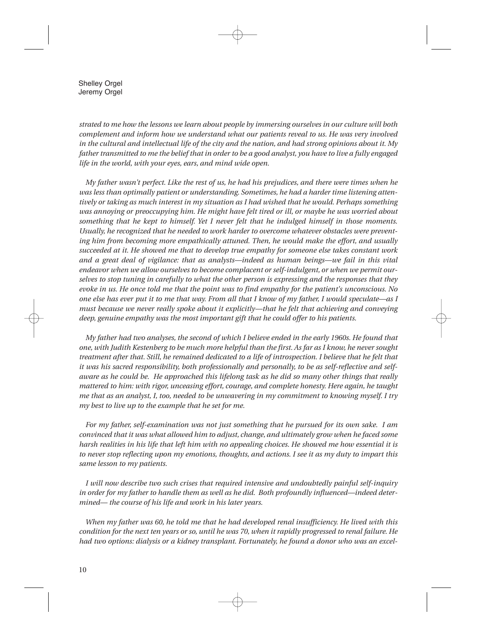Shelley Orgel Jeremy Orgel

*strated to me how the lessons we learn about people by immersing ourselves in our culture will both complement and inform how we understand what our patients reveal to us. He was very involved in the cultural and intellectual life of the city and the nation, and had strong opinions about it. My father transmitted to me the belief that in order to be a good analyst, you have to live a fully engaged life in the world, with your eyes, ears, and mind wide open.*

*My father wasn't perfect. Like the rest of us, he had his prejudices, and there were times when he was less than optimally patient or understanding. Sometimes, he had a harder time listening attentively or taking as much interest in my situation as I had wished that he would. Perhaps something was annoying or preoccupying him. He might have felt tired or ill, or maybe he was worried about something that he kept to himself. Yet I never felt that he indulged himself in those moments. Usually, he recognized that he needed to work harder to overcome whatever obstacles were preventing him from becoming more empathically attuned. Then, he would make the effort, and usually succeeded at it. He showed me that to develop true empathy for someone else takes constant work and a great deal of vigilance: that as analysts—indeed as human beings—we fail in this vital endeavor when we allow ourselves to become complacent or self-indulgent, or when we permit ourselves to stop tuning in carefully to what the other person is expressing and the responses that they evoke in us. He once told me that the point was to find empathy for the patient's unconscious. No one else has ever put it to me that way. From all that I know of my father, I would speculate—as I must because we never really spoke about it explicitly—that he felt that achieving and conveying deep, genuine empathy was the most important gift that he could offer to his patients.*

*My father had two analyses, the second of which I believe ended in the early 1960s. He found that one, with Judith Kestenberg to be much more helpful than the first. As far as I know, he never sought treatment after that. Still, he remained dedicated to a life of introspection. I believe that he felt that it was his sacred responsibility, both professionally and personally, to be as self-reflective and selfaware as he could be. He approached this lifelong task as he did so many other things that really mattered to him: with rigor, unceasing effort, courage, and complete honesty. Here again, he taught me that as an analyst, I, too, needed to be unwavering in my commitment to knowing myself. I try my best to live up to the example that he set for me.*

*For my father, self-examination was not just something that he pursued for its own sake. I am convinced that it was what allowed him to adjust, change, and ultimately grow when he faced some harsh realities in his life that left him with no appealing choices. He showed me how essential it is to never stop reflecting upon my emotions, thoughts, and actions. I see it as my duty to impart this same lesson to my patients.*

*I will now describe two such crises that required intensive and undoubtedly painful self-inquiry in order for my father to handle them as well as he did. Both profoundly influenced—indeed determined— the course of his life and work in his later years.*

*When my father was 60, he told me that he had developed renal insufficiency. He lived with this condition for the next ten years or so, until he was 70, when it rapidly progressed to renal failure. He had two options: dialysis or a kidney transplant. Fortunately, he found a donor who was an excel-*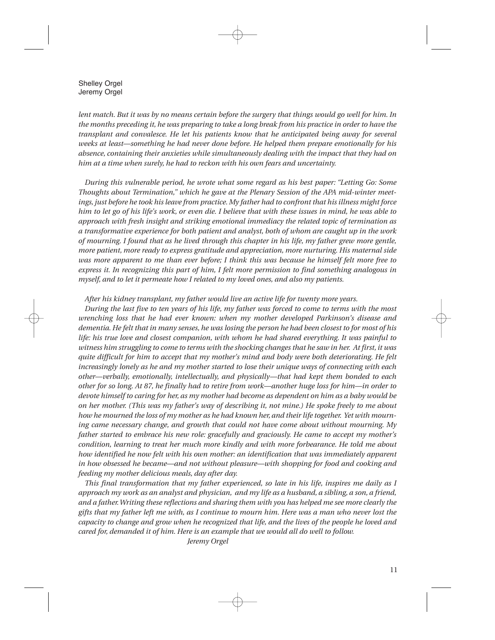Shelley Orgel Jeremy Orgel

*lent match. But it was by no means certain before the surgery that things would go well for him. In the months preceding it, he was preparing to take a long break from his practice in order to have the transplant and convalesce. He let his patients know that he anticipated being away for several weeks at least—something he had never done before. He helped them prepare emotionally for his absence, containing their anxieties while simultaneously dealing with the impact that they had on him at a time when surely, he had to reckon with his own fears and uncertainty.*

*During this vulnerable period, he wrote what some regard as his best paper: "Letting Go: Some Thoughts about Termination," which he gave at the Plenary Session of the APA mid-winter meetings, just before he took his leave from practice. My father had to confront that his illness might force him to let go of his life's work, or even die. I believe that with these issues in mind, he was able to approach with fresh insight and striking emotional immediacy the related topic of termination as a transformative experience for both patient and analyst, both of whom are caught up in the work of mourning. I found that as he lived through this chapter in his life, my father grew more gentle, more patient, more ready to express gratitude and appreciation, more nurturing. His maternal side was more apparent to me than ever before; I think this was because he himself felt more free to express it. In recognizing this part of him, I felt more permission to find something analogous in myself, and to let it permeate how I related to my loved ones, and also my patients.*

*After his kidney transplant, my father would live an active life for twenty more years.*

*During the last five to ten years of his life, my father was forced to come to terms with the most wrenching loss that he had ever known: when my mother developed Parkinson's disease and dementia. He felt that in many senses, he was losing the person he had been closest to for most of his life: his true love and closest companion, with whom he had shared everything. It was painful to witness him struggling to come to terms with the shocking changes that he saw in her. At first, it was quite difficult for him to accept that my mother's mind and body were both deteriorating. He felt increasingly lonely as he and my mother started to lose their unique ways of connecting with each other—verbally, emotionally, intellectually, and physically—that had kept them bonded to each other for so long. At 87, he finally had to retire from work—another huge loss for him—in order to devote himself to caring for her, as my mother had become as dependent on him as a baby would be on her mother. (This was my father's way of describing it, not mine.) He spoke freely to me about how he mourned the loss of my mother as he had known her, and their life together. Yet with mourning came necessary change, and growth that could not have come about without mourning. My father started to embrace his new role: gracefully and graciously. He came to accept my mother's condition, learning to treat her much more kindly and with more forbearance. He told me about how identified he now felt with his own mother: an identification that was immediately apparent in how obsessed he became—and not without pleasure—with shopping for food and cooking and feeding my mother delicious meals, day after day.*

*This final transformation that my father experienced, so late in his life, inspires me daily as I approach my work as an analyst and physician, and my life as a husband, a sibling, a son, a friend, and a father.Writing these reflections and sharing them with you has helped me see more clearly the gifts that my father left me with, as I continue to mourn him. Here was a man who never lost the capacity to change and grow when he recognized that life, and the lives of the people he loved and cared for, demanded it of him. Here is an example that we would all do well to follow.*

*Jeremy Orgel*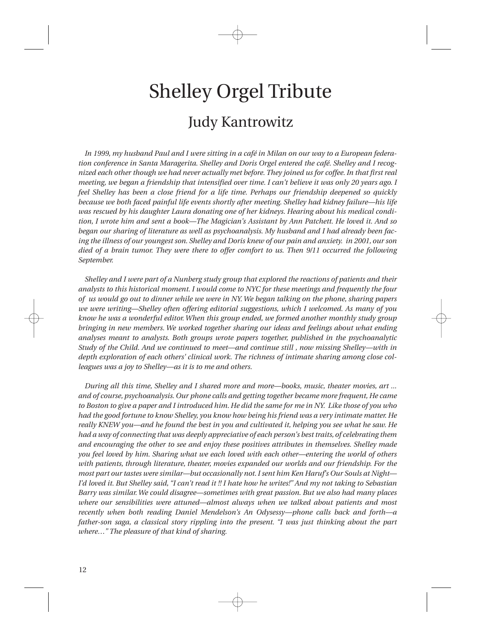# Shelley Orgel Tribute Judy Kantrowitz

*In 1999, my husband Paul and I were sitting in a café in Milan on our way to a European federation conference in Santa Maragerita. Shelley and Doris Orgel entered the café. Shelley and I recognized each other though we had never actually met before. They joined us for coffee. In that first real meeting, we began a friendship that intensified over time. I can't believe it was only 20 years ago. I feel Shelley has been a close friend for a life time. Perhaps our friendship deepened so quickly because we both faced painful life events shortly after meeting. Shelley had kidney failure—his life was rescued by his daughter Laura donating one of her kidneys. Hearing about his medical condition, I wrote him and sent a book—The Magician's Assistant by Ann Patchett. He loved it. And so began our sharing of literature as well as psychoanalysis. My husband and I had already been facing the illness of our youngest son. Shelley and Doris knew of our pain and anxiety. in 2001, our son died of a brain tumor. They were there to offer comfort to us. Then 9/11 occurred the following September.*

*Shelley and I were part of a Nunberg study group that explored the reactions of patients and their analysts to this historical moment. I would come to NYC for these meetings and frequently the four of us would go out to dinner while we were in NY. We began talking on the phone, sharing papers we were writing—Shelley often offering editorial suggestions, which I welcomed. As many of you know he was a wonderful editor. When this group ended, we formed another monthly study group bringing in new members. We worked together sharing our ideas and feelings about what ending analyses meant to analysts. Both groups wrote papers together, published in the psychoanalytic Study of the Child. And we continued to meet—and continue still , now missing Shelley—with in depth exploration of each others' clinical work. The richness of intimate sharing among close colleagues was a joy to Shelley—as it is to me and others.*

*During all this time, Shelley and I shared more and more—books, music, theater movies, art ... and of course, psychoanalysis. Our phone calls and getting together became more frequent, He came to Boston to give a paper and I introduced him. He did the same for me in NY. Like those of you who had the good fortune to know Shelley, you know how being his friend was a very intimate matter. He really KNEW you—and he found the best in you and cultivated it, helping you see what he saw. He had a way of connecting that was deeply appreciative of each person's best traits, of celebrating them and encouraging the other to see and enjoy these positives attributes in themselves. Shelley made you feel loved by him. Sharing what we each loved with each other—entering the world of others with patients, through literature, theater, movies expanded our worlds and our friendship. For the most part our tastes were similar—but occasionally not.I sent him Ken Haruf's Our Souls at Night— I'd loved it. But Shelley said, "I can't read it !! I hate how he writes!" And my not taking to Sebastian Barry was similar.We could disagree—sometimes with great passion. But we also had many places where our sensibilities were attuned—almost always when we talked about patients and most recently when both reading Daniel Mendelson's An Odysessy—phone calls back and forth—a father-son saga, a classical story rippling into the present. "I was just thinking about the part where…" The pleasure of that kind of sharing.*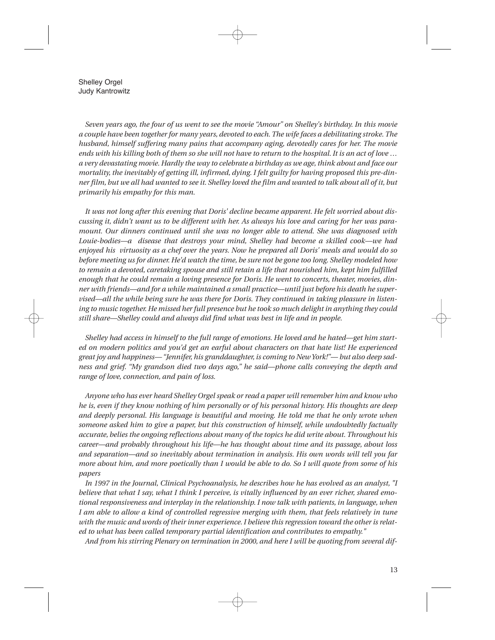Shelley Orgel Judy Kantrowitz

*Seven years ago, the four of us went to see the movie "Amour" on Shelley's birthday. In this movie a couple have been together for many years, devoted to each. The wife faces a debilitating stroke. The husband, himself suffering many pains that accompany aging, devotedly cares for her. The movie ends with his killing both of them so she will not have to return to the hospital. It is an act of love … a very devastating movie. Hardly the way to celebrate a birthday as we age,think about and face our mortality, the inevitably of getting ill, infirmed, dying. I felt guilty for having proposed this pre-dinner film, but we all had wanted to see it. Shelley loved the film and wanted to talk about all of it, but primarily his empathy for this man.*

*It was not long after this evening that Doris' decline became apparent. He felt worried about discussing it, didn't want us to be different with her. As always his love and caring for her was paramount. Our dinners continued until she was no longer able to attend. She was diagnosed with Louie-bodies—a disease that destroys your mind, Shelley had become a skilled cook—we had enjoyed his virtuosity as a chef over the years. Now he prepared all Doris' meals and would do so before meeting us for dinner. He'd watch the time, be sure not be gone too long. Shelley modeled how to remain a devoted, caretaking spouse and still retain a life that nourished him, kept him fulfilled enough that he could remain a loving presence for Doris. He went to concerts, theater, movies, dinner with friends—and for a while maintained a small practice—until just before his death he supervised—all the while being sure he was there for Doris. They continued in taking pleasure in listening to music together. He missed her full presence but he took so much delight in anything they could still share—Shelley could and always did find what was best in life and in people.*

*Shelley had access in himself to the full range of emotions. He loved and he hated—get him started on modern politics and you'd get an earful about characters on that hate list! He experienced great joy and happiness— "Jennifer, his granddaughter, is coming to New York!"— but also deep sadness and grief. "My grandson died two days ago," he said—phone calls conveying the depth and range of love, connection, and pain of loss.*

*Anyone who has ever heard Shelley Orgel speak or read a paper will remember him and know who he is, even if they know nothing of him personally or of his personal history. His thoughts are deep and deeply personal. His language is beautiful and moving. He told me that he only wrote when someone asked him to give a paper, but this construction of himself, while undoubtedly factually accurate, belies the ongoing reflections about many of the topics he did write about. Throughout his career—and probably throughout his life—he has thought about time and its passage, about loss and separation—and so inevitably about termination in analysis. His own words will tell you far more about him, and more poetically than I would be able to do. So I will quote from some of his papers*

*In 1997 in the Journal, Clinical Psychoanalysis, he describes how he has evolved as an analyst, "I believe that what I say, what I think I perceive, is vitally influenced by an ever richer, shared emotional responsiveness and interplay in the relationship. I now talk with patients, in language, when I am able to allow a kind of controlled regressive merging with them, that feels relatively in tune with the music and words of their inner experience.I believe this regression toward the other is related to what has been called temporary partial identification and contributes to empathy."*

*And from his stirring Plenary on termination in 2000, and here I will be quoting from several dif-*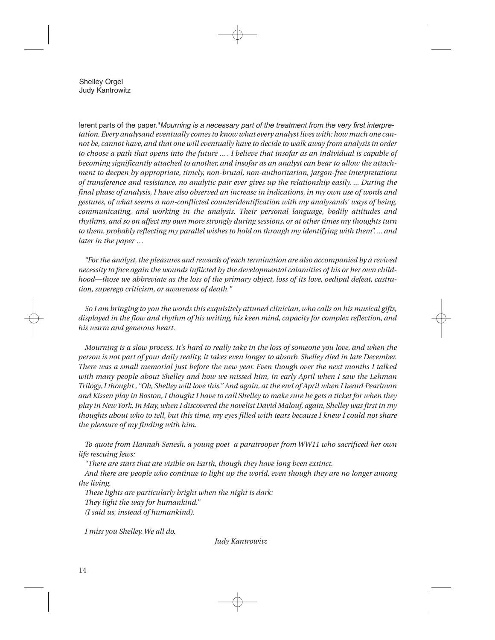Shelley Orgel Judy Kantrowitz

*tation. Every analysand eventually comes to know what every analyst lives with: how much one cannot be, cannot have, and that one will eventually have to decide to walk away from analysis in order to choose a path that opens into the future ... . I believe that insofar as an individual is capable of becoming significantly attached to another, and insofar as an analyst can bear to allow the attachment to deepen by appropriate, timely, non-brutal, non-authoritarian, jargon-free interpretations of transference and resistance, no analytic pair ever gives up the relationship easily. ... During the final phase of analysis, I have also observed an increase in indications, in my own use of words and gestures, of what seems a non-conflicted counteridentification with my analysands' ways of being, communicating, and working in the analysis. Their personal language, bodily attitudes and rhythms, and so on affect my own more strongly during sessions, or at other times my thoughts turn to them, probably reflecting my parallel wishes to hold on through my identifying with them". ... and later in the paper …* ferent parts of the paper."*Mourning is a necessary part of the treatment from the very first interpre-*

*"For the analyst,the pleasures and rewards of each termination are also accompanied by a revived necessity to face again the wounds inflicted by the developmental calamities of his or her own childhood—those we abbreviate as the loss of the primary object, loss of its love, oedipal defeat, castration, superego criticism, or awareness of death."*

*So I am bringing to you the words this exquisitely attuned clinician, who calls on his musical gifts, displayed in the flow and rhythm of his writing, his keen mind, capacity for complex reflection, and his warm and generous heart.*

*Mourning is a slow process. It's hard to really take in the loss of someone you love, and when the person is not part of your daily reality, it takes even longer to absorb. Shelley died in late December. There was a small memorial just before the new year. Even though over the next months I talked with many people about Shelley and how we missed him, in early April when I saw the Lehman Trilogy, I thought , "Oh, Shelley will love this." And again, at the end of April when I heard Pearlman and Kissen play in Boston, I thought I have to call Shelley to make sure he gets a ticket for when they play in New York.In May, when I discovered the novelist David Malouf, again, Shelley was first in my thoughts about who to tell, but this time, my eyes filled with tears because I knew I could not share the pleasure of my finding with him.*

*To quote from Hannah Senesh, a young poet a paratrooper from WW11 who sacrificed her own life rescuing Jews:*

*"There are stars that are visible on Earth, though they have long been extinct.*

*And there are people who continue to light up the world, even though they are no longer among the living.*

*These lights are particularly bright when the night is dark: They light the way for humankind." (I said us, instead of humankind).*

*I miss you Shelley.We all do.*

*Judy Kantrowitz*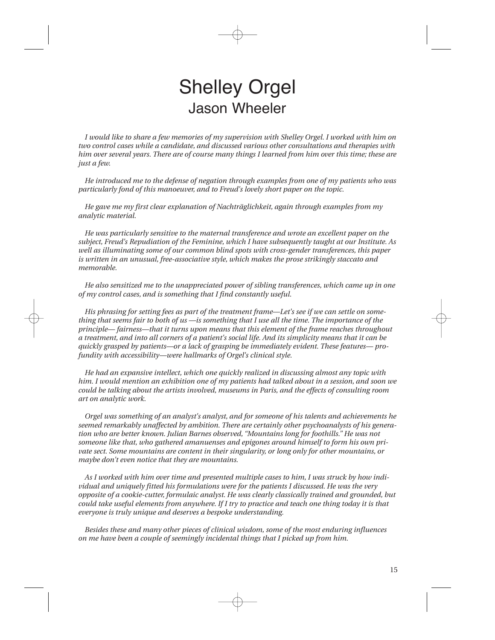## Shelley Orgel Jason Wheeler

*I would like to share a few memories of my supervision with Shelley Orgel. I worked with him on two control cases while a candidate, and discussed various other consultations and therapies with him over several years. There are of course many things I learned from him over this time; these are just a few.*

*He introduced me to the defense of negation through examples from one of my patients who was particularly fond of this manoeuver, and to Freud's lovely short paper on the topic.*

*He gave me my first clear explanation of Nachträglichkeit, again through examples from my analytic material.*

*He was particularly sensitive to the maternal transference and wrote an excellent paper on the subject, Freud's Repudiation of the Feminine, which I have subsequently taught at our Institute. As well as illuminating some of our common blind spots with cross-gender transferences, this paper is written in an unusual, free-associative style, which makes the prose strikingly staccato and memorable.*

*He also sensitized me to the unappreciated power of sibling transferences, which came up in one of my control cases, and is something that I find constantly useful.*

*His phrasing for setting fees as part of the treatment frame—Let's see if we can settle on something that seems fair to both of us —is something that I use all the time. The importance of the principle— fairness—that it turns upon means that this element of the frame reaches throughout a treatment, and into all corners of a patient's social life. And its simplicity means that it can be quickly grasped by patients—or a lack of grasping be immediately evident. These features— profundity with accessibility—were hallmarks of Orgel's clinical style.*

*He had an expansive intellect, which one quickly realized in discussing almost any topic with him. I would mention an exhibition one of my patients had talked about in a session, and soon we could be talking about the artists involved, museums in Paris, and the effects of consulting room art on analytic work.*

*Orgel was something of an analyst's analyst, and for someone of his talents and achievements he seemed remarkably unaffected by ambition. There are certainly other psychoanalysts of his generation who are better known. Julian Barnes observed, "Mountains long for foothills." He was not someone like that, who gathered amanuenses and epigones around himself to form his own private sect. Some mountains are content in their singularity, or long only for other mountains, or maybe don't even notice that they are mountains.*

*As I worked with him over time and presented multiple cases to him, I was struck by how individual and uniquely fitted his formulations were for the patients I discussed. He was the very opposite of a cookie-cutter, formulaic analyst. He was clearly classically trained and grounded, but could take useful elements from anywhere. If I try to practice and teach one thing today it is that everyone is truly unique and deserves a bespoke understanding.*

*Besides these and many other pieces of clinical wisdom, some of the most enduring influences on me have been a couple of seemingly incidental things that I picked up from him.*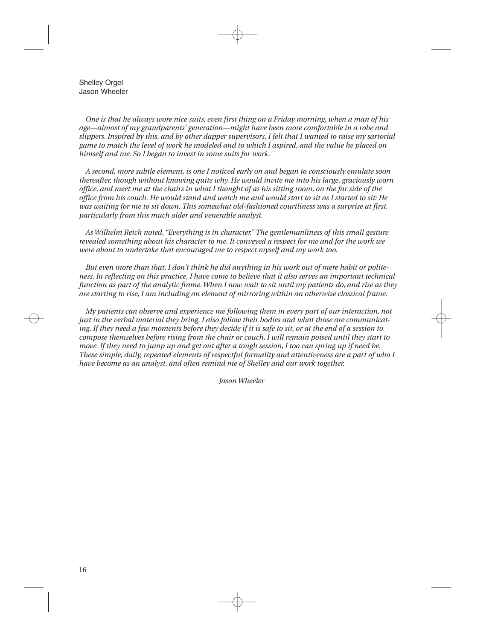Shelley Orgel Jason Wheeler

*One is that he always wore nice suits, even first thing on a Friday morning, when a man of his age—almost of my grandparents' generation—might have been more comfortable in a robe and slippers. Inspired by this, and by other dapper supervisors, I felt that I wanted to raise my sartorial game to match the level of work he modeled and to which I aspired, and the value he placed on himself and me. So I began to invest in some suits for work.*

*A second, more subtle element, is one I noticed early on and began to consciously emulate soon thereafter, though without knowing quite why. He would invite me into his large, graciously worn office, and meet me at the chairs in what I thought of as his sitting room, on the far side of the office from his couch. He would stand and watch me and would start to sit as I started to sit: He was waiting for me to sit down. This somewhat old-fashioned courtliness was a surprise at first, particularly from this much older and venerable analyst.*

*As Wilhelm Reich noted, "Everything is in character." The gentlemanliness of this small gesture revealed something about his character to me. It conveyed a respect for me and for the work we were about to undertake that encouraged me to respect myself and my work too.*

*But even more than that, I don't think he did anything in his work out of mere habit or politeness. In reflecting on this practice, I have come to believe that it also serves an important technical function as part of the analytic frame.When I now wait to sit until my patients do, and rise as they are starting to rise, I am including an element of mirroring within an otherwise classical frame.*

*My patients can observe and experience me following them in every part of our interaction, not just in the verbal material they bring. I also follow their bodies and what those are communicating. If they need a few moments before they decide if it is safe to sit, or at the end of a session to compose themselves before rising from the chair or couch, I will remain poised until they start to move. If they need to jump up and get out after a tough session, I too can spring up if need be. These simple, daily, repeated elements of respectful formality and attentiveness are a part of who I have become as an analyst, and often remind me of Shelley and our work together.*

*Jason Wheeler*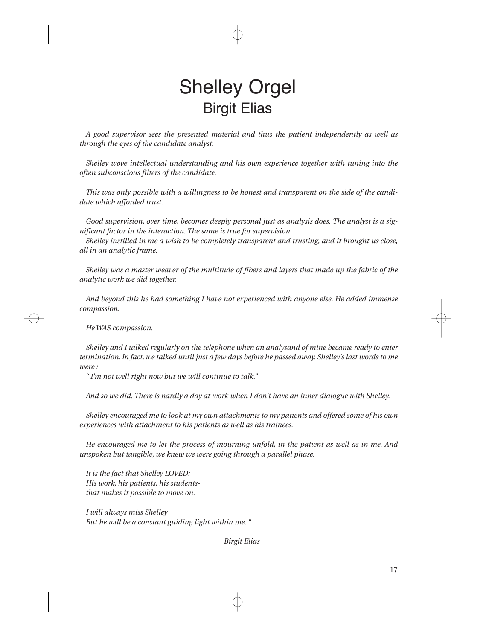## Shelley Orgel Birgit Elias

*A good supervisor sees the presented material and thus the patient independently as well as through the eyes of the candidate analyst.*

*Shelley wove intellectual understanding and his own experience together with tuning into the often subconscious filters of the candidate.*

*This was only possible with a willingness to be honest and transparent on the side of the candidate which afforded trust.*

*Good supervision, over time, becomes deeply personal just as analysis does. The analyst is a significant factor in the interaction. The same is true for supervision.*

*Shelley instilled in me a wish to be completely transparent and trusting, and it brought us close, all in an analytic frame.*

*Shelley was a master weaver of the multitude of fibers and layers that made up the fabric of the analytic work we did together.*

*And beyond this he had something I have not experienced with anyone else. He added immense compassion.*

*He WAS compassion.*

*Shelley and I talked regularly on the telephone when an analysand of mine became ready to enter termination. In fact, we talked until just a few days before he passed away. Shelley's last words to me were :*

*" I'm not well right now but we will continue to talk."*

*And so we did. There is hardly a day at work when I don't have an inner dialogue with Shelley.*

*Shelley encouraged me to look at my own attachments to my patients and offered some of his own experiences with attachment to his patients as well as his trainees.*

*He encouraged me to let the process of mourning unfold, in the patient as well as in me. And unspoken but tangible, we knew we were going through a parallel phase.*

*It is the fact that Shelley LOVED: His work, his patients, his studentsthat makes it possible to move on.*

*I will always miss Shelley But he will be a constant guiding light within me. "*

*Birgit Elias*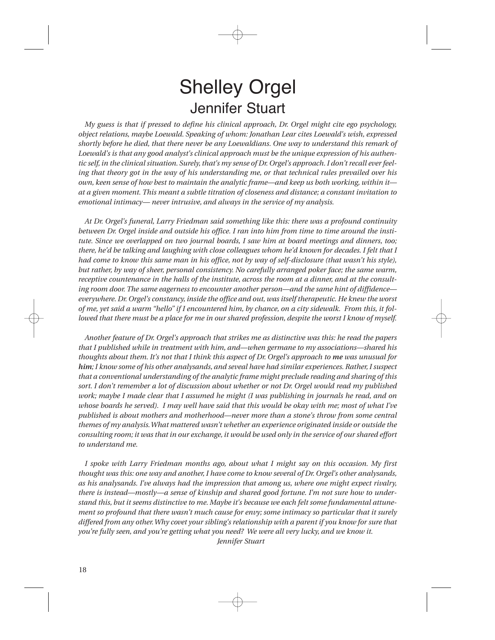## Shelley Orgel Jennifer Stuart

*My guess is that if pressed to define his clinical approach, Dr. Orgel might cite ego psychology, object relations, maybe Loewald. Speaking of whom: Jonathan Lear cites Loewald's wish, expressed shortly before he died, that there never be any Loewaldians. One way to understand this remark of Loewald's is that any good analyst's clinical approach must be the unique expression of his authen*tic self, in the clinical situation. Surely, that's my sense of Dr. Orgel's approach. I don't recall ever feel*ing that theory got in the way of his understanding me, or that technical rules prevailed over his own, keen sense of how best to maintain the analytic frame—and keep us both working, within it at a given moment. This meant a subtle titration of closeness and distance; a constant invitation to emotional intimacy— never intrusive, and always in the service of my analysis.*

*At Dr. Orgel's funeral, Larry Friedman said something like this: there was a profound continuity between Dr. Orgel inside and outside his office. I ran into him from time to time around the institute. Since we overlapped on two journal boards, I saw him at board meetings and dinners, too; there, he'd be talking and laughing with close colleagues whom he'd known for decades. I felt that I had come to know this same man in his office, not by way of self-disclosure (that wasn't his style), but rather, by way of sheer, personal consistency. No carefully arranged poker face; the same warm, receptive countenance in the halls of the institute, across the room at a dinner, and at the consulting room door. The same eagerness to encounter another person—and the same hint of diffidence everywhere. Dr. Orgel's constancy, inside the office and out, was itself therapeutic. He knew the worst of me, yet said a warm "hello" if I encountered him, by chance, on a city sidewalk. From this, it followed that there must be a place for me in our shared profession, despite the worst I know of myself.*

*Another feature of Dr. Orgel's approach that strikes me as distinctive was this: he read the papers that I published while in treatment with him, and—when germane to my associations—shared his thoughts about them. It's not that I think this aspect of Dr. Orgel's approach to me was unusual for him; I know some of his other analysands, and seveal have had similar experiences. Rather,I suspect that a conventional understanding of the analytic frame might preclude reading and sharing of this sort. I don't remember a lot of discussion about whether or not Dr. Orgel would read my published work; maybe I made clear that I assumed he might (I was publishing in journals he read, and on whose boards he served). I may well have said that this would be okay with me; most of what I've published is about mothers and motherhood—never more than a stone's throw from some central themes of my analysis.What mattered wasn't whether an experience originated inside or outside the consulting room; it was that in our exchange, it would be used only in the service of our shared effort to understand me.*

*I spoke with Larry Friedman months ago, about what I might say on this occasion. My first thought was this: one way and another, I have come to know several of Dr. Orgel's other analysands, as his analysands. I've always had the impression that among us, where one might expect rivalry, there is instead—mostly—a sense of kinship and shared good fortune. I'm not sure how to understand this, but it seems distinctive to me. Maybe it's because we each felt some fundamental attunement so profound that there wasn't much cause for envy; some intimacy so particular that it surely differed from any other.Why covet your sibling's relationship with a parent if you know for sure that you're fully seen, and you're getting what you need? We were all very lucky, and we know it. Jennifer Stuart*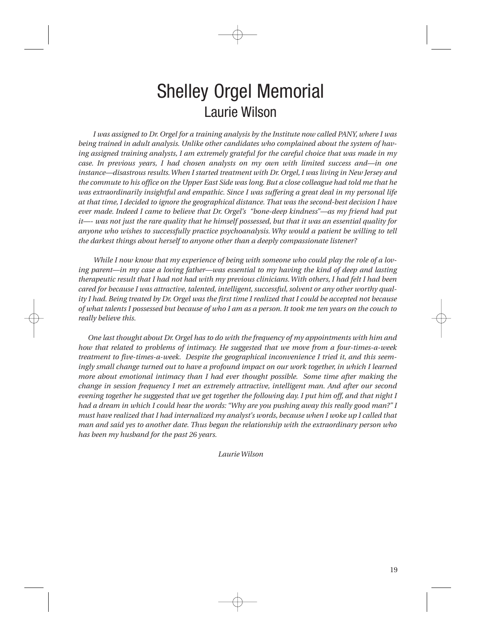## Shelley Orgel Memorial Laurie Wilson

*I was assigned to Dr. Orgel for a training analysis by the Institute now called PANY, where I was being trained in adult analysis. Unlike other candidates who complained about the system of having assigned training analysts, I am extremely grateful for the careful choice that was made in my case. In previous years, I had chosen analysts on my own with limited success and—in one instance—disastrous results.When I started treatment with Dr. Orgel, I was living in New Jersey and the commute to his office on the Upper East Side was long. But a close colleague had told me that he was extraordinarily insightful and empathic. Since I was suffering a great deal in my personal life at that time, I decided to ignore the geographical distance. That was the second-best decision I have ever made. Indeed I came to believe that Dr. Orgel's "bone-deep kindness"—as my friend had put it—- was not just the rare quality that he himself possessed, but that it was an essential quality for anyone who wishes to successfully practice psychoanalysis. Why would a patient be willing to tell the darkest things about herself to anyone other than a deeply compassionate listener?* 

*While I now know that my experience of being with someone who could play the role of a loving parent—in my case a loving father—was essential to my having the kind of deep and lasting therapeutic result that I had not had with my previous clinicians.With others, I had felt I had been cared for because I was attractive, talented, intelligent,successful,solvent or any other worthy quality I had. Being treated by Dr. Orgel was the first time I realized that I could be accepted not because of what talents I possessed but because of who I am as a person. It took me ten years on the couch to really believe this.*

*One last thought about Dr. Orgel has to do with the frequency of my appointments with him and how that related to problems of intimacy. He suggested that we move from a four-times-a-week treatment to five-times-a-week. Despite the geographical inconvenience I tried it, and this seemingly small change turned out to have a profound impact on our work together, in which I learned more about emotional intimacy than I had ever thought possible. Some time after making the change in session frequency I met an extremely attractive, intelligent man. And after our second evening together he suggested that we get together the following day. I put him off, and that night I had a dream in which I could hear the words: "Why are you pushing away this really good man?" I must have realized that I had internalized my analyst's words, because when I woke up I called that man and said yes to another date. Thus began the relationship with the extraordinary person who has been my husband for the past 26 years.*

*Laurie Wilson*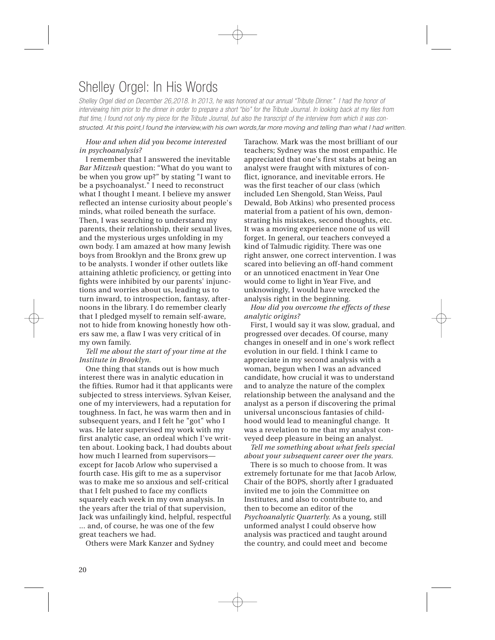### Shelley Orgel: In His Words

Shelley Orgel died on December 26,2018. In 2013, he was honored at our annual "Tribute Dinner." I had the honor of interviewing him prior to the dinner in order to prepare a short "bio" for the Tribute Journal. In looking back at my files from that time, I found not only my piece for the Tribute Journal, but also the transcript of the interview from which it was constructed. At this point, I found the interview, with his own words, far more moving and telling than what I had written.

#### *How and when did you become interested in psychoanalysis?*

I remember that I answered the inevitable *Bar Mitzvah* question: "What do you want to be when you grow up?" by stating "I want to be a psychoanalyst." I need to reconstruct what I thought I meant. I believe my answer reflected an intense curiosity about people's minds, what roiled beneath the surface. Then, I was searching to understand my parents, their relationship, their sexual lives, and the mysterious urges unfolding in my own body. I am amazed at how many Jewish boys from Brooklyn and the Bronx grew up to be analysts. I wonder if other outlets like attaining athletic proficiency, or getting into fights were inhibited by our parents' injunctions and worries about us, leading us to turn inward, to introspection, fantasy, afternoons in the library. I do remember clearly that I pledged myself to remain self-aware, not to hide from knowing honestly how others saw me, a flaw I was very critical of in my own family.

*Tell me about the start of your time at the Institute in Brooklyn.*

One thing that stands out is how much interest there was in analytic education in the fifties. Rumor had it that applicants were subjected to stress interviews. Sylvan Keiser, one of my interviewers, had a reputation for toughness. In fact, he was warm then and in subsequent years, and I felt he "got" who I was. He later supervised my work with my first analytic case, an ordeal which I've written about. Looking back, I had doubts about how much I learned from supervisors except for Jacob Arlow who supervised a fourth case. His gift to me as a supervisor was to make me so anxious and self-critical that I felt pushed to face my conflicts squarely each week in my own analysis. In the years after the trial of that supervision, Jack was unfailingly kind, helpful, respectful ... and, of course, he was one of the few great teachers we had.

Others were Mark Kanzer and Sydney

Tarachow. Mark was the most brilliant of our teachers; Sydney was the most empathic. He appreciated that one's first stabs at being an analyst were fraught with mixtures of conflict, ignorance, and inevitable errors. He was the first teacher of our class (which included Len Shengold, Stan Weiss, Paul Dewald, Bob Atkins) who presented process material from a patient of his own, demonstrating his mistakes, second thoughts, etc. It was a moving experience none of us will forget. In general, our teachers conveyed a kind of Talmudic rigidity. There was one right answer, one correct intervention. I was scared into believing an off-hand comment or an unnoticed enactment in Year One would come to light in Year Five, and unknowingly, I would have wrecked the analysis right in the beginning.

*How did you overcome the effects of these analytic origins?*

First, I would say it was slow, gradual, and progressed over decades. Of course, many changes in oneself and in one's work reflect evolution in our field. I think I came to appreciate in my second analysis with a woman, begun when I was an advanced candidate, how crucial it was to understand and to analyze the nature of the complex relationship between the analysand and the analyst as a person if discovering the primal universal unconscious fantasies of childhood would lead to meaningful change. It was a revelation to me that my analyst conveyed deep pleasure in being an analyst.

*Tell me something about what feels special about your subsequent career over the years.*

There is so much to choose from. It was extremely fortunate for me that Jacob Arlow, Chair of the BOPS, shortly after I graduated invited me to join the Committee on Institutes, and also to contribute to, and then to become an editor of the *Psychoanalytic Quarterly.* As a young, still unformed analyst I could observe how analysis was practiced and taught around the country, and could meet and become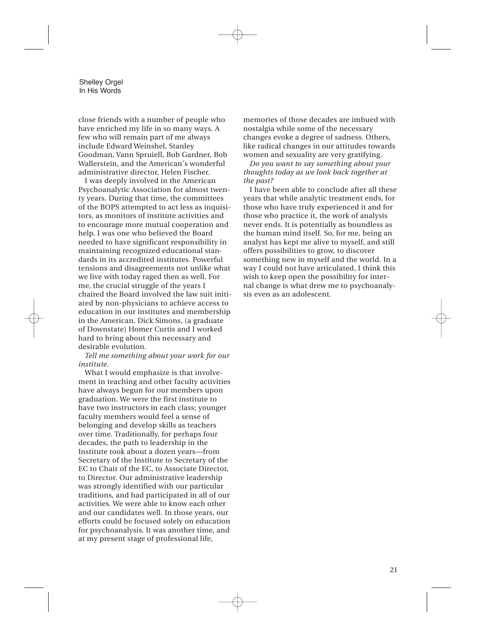Shelley Orgel In His Words

close friends with a number of people who have enriched my life in so many ways. A few who will remain part of me always include Edward Weinshel, Stanley Goodman, Vann Spruiell, Bob Gardner, Bob Wallerstein, and the American's wonderful administrative director, Helen Fischer.

I was deeply involved in the American Psychoanalytic Association for almost twenty years. During that time, the committees of the BOPS attempted to act less as inquisitors, as monitors of institute activities and to encourage more mutual cooperation and help. I was one who believed the Board needed to have significant responsibility in maintaining recognized educational standards in its accredited institutes. Powerful tensions and disagreements not unlike what we live with today raged then as well. For me, the crucial struggle of the years I chaired the Board involved the law suit initiated by non-physicians to achieve access to education in our institutes and membership in the American. Dick Simons, (a graduate of Downstate) Homer Curtis and I worked hard to bring about this necessary and desirable evolution.

*Tell me something about your work for our institute.*

What I would emphasize is that involvement in teaching and other faculty activities have always begun for our members upon graduation. We were the first institute to have two instructors in each class; younger faculty members would feel a sense of belonging and develop skills as teachers over time. Traditionally, for perhaps four decades, the path to leadership in the Institute took about a dozen years—from Secretary of the Institute to Secretary of the EC to Chair of the EC, to Associate Director, to Director. Our administrative leadership was strongly identified with our particular traditions, and had participated in all of our activities. We were able to know each other and our candidates well. In those years, our efforts could be focused solely on education for psychoanalysis. It was another time, and at my present stage of professional life,

memories of those decades are imbued with nostalgia while some of the necessary changes evoke a degree of sadness. Others, like radical changes in our attitudes towards women and sexuality are very gratifying.

*Do you want to say something about your thoughts today as we look back together at the past?*

I have been able to conclude after all these years that while analytic treatment ends, for those who have truly experienced it and for those who practice it, the work of analysis never ends. It is potentially as boundless as the human mind itself. So, for me, being an analyst has kept me alive to myself, and still offers possibilities to grow, to discover something new in myself and the world. In a way I could not have articulated, I think this wish to keep open the possibility for internal change is what drew me to psychoanalysis even as an adolescent.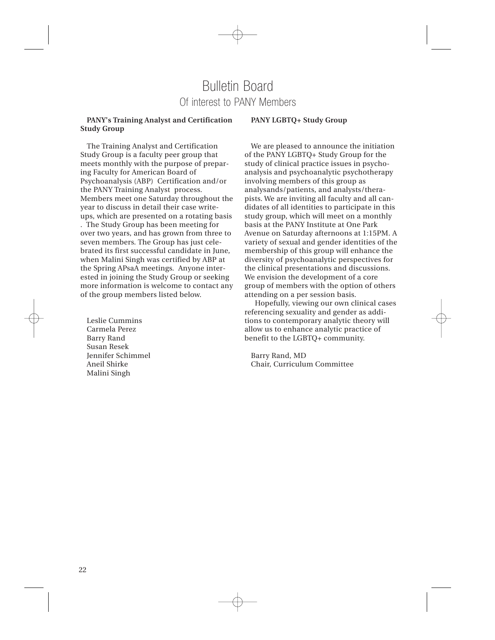### Bulletin Board Of interest to PANY Members

### **PANY's Training Analyst and Certification Study Group**

### **PANY LGBTQ+ Study Group**

The Training Analyst and Certification Study Group is a faculty peer group that meets monthly with the purpose of preparing Faculty for American Board of Psychoanalysis (ABP) Certification and/or the PANY Training Analyst process. Members meet one Saturday throughout the year to discuss in detail their case writeups, which are presented on a rotating basis

. The Study Group has been meeting for over two years, and has grown from three to seven members. The Group has just celebrated its first successful candidate in June, when Malini Singh was certified by ABP at the Spring APsaA meetings. Anyone interested in joining the Study Group or seeking more information is welcome to contact any of the group members listed below.

Leslie Cummins Carmela Perez Barry Rand Susan Resek Jennifer Schimmel Aneil Shirke Malini Singh

We are pleased to announce the initiation of the PANY LGBTQ+ Study Group for the study of clinical practice issues in psychoanalysis and psychoanalytic psychotherapy involving members of this group as analysands/patients, and analysts/therapists. We are inviting all faculty and all candidates of all identities to participate in this study group, which will meet on a monthly basis at the PANY Institute at One Park Avenue on Saturday afternoons at 1:15PM. A variety of sexual and gender identities of the membership of this group will enhance the diversity of psychoanalytic perspectives for the clinical presentations and discussions. We envision the development of a core group of members with the option of others attending on a per session basis.

Hopefully, viewing our own clinical cases referencing sexuality and gender as additions to contemporary analytic theory will allow us to enhance analytic practice of benefit to the LGBTQ+ community.

Barry Rand, MD Chair, Curriculum Committee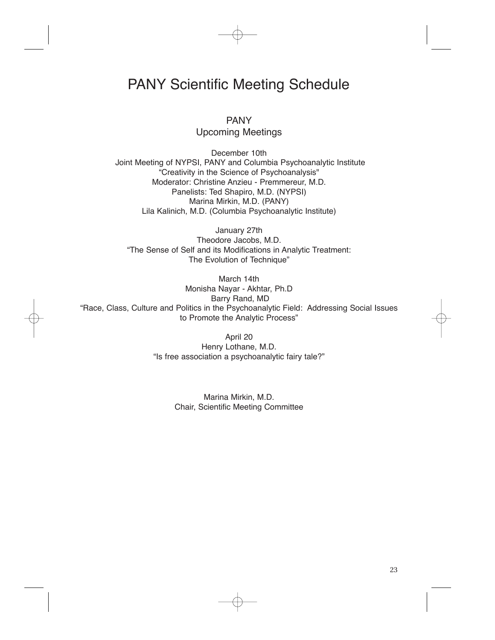### PANY Scientific Meeting Schedule

PANY Upcoming Meetings

December 10th Joint Meeting of NYPSI, PANY and Columbia Psychoanalytic Institute "Creativity in the Science of Psychoanalysis" Moderator: Christine Anzieu - Premmereur, M.D. Panelists: Ted Shapiro, M.D. (NYPSI) Marina Mirkin, M.D. (PANY) Lila Kalinich, M.D. (Columbia Psychoanalytic Institute)

January 27th Theodore Jacobs, M.D. "The Sense of Self and its Modifications in Analytic Treatment: The Evolution of Technique"

March 14th Monisha Nayar - Akhtar, Ph.D Barry Rand, MD "Race, Class, Culture and Politics in the Psychoanalytic Field: Addressing Social Issues to Promote the Analytic Process"

> April 20 Henry Lothane, M.D. "Is free association a psychoanalytic fairy tale?"

> > Marina Mirkin, M.D. Chair, Scientific Meeting Committee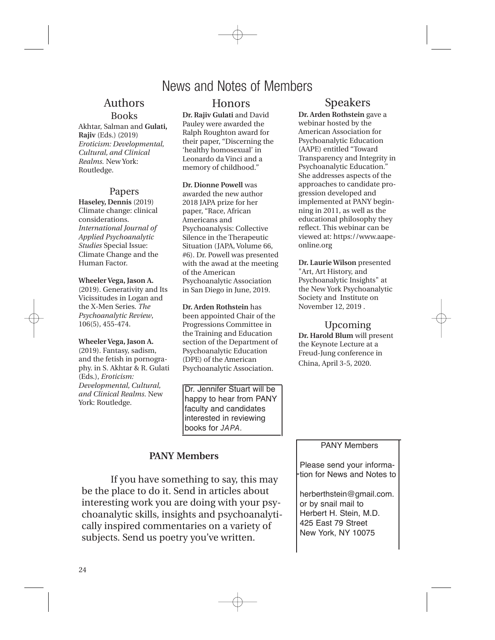### News and Notes of Members

### Authors Books

Akhtar, Salman and **Gulati, Rajiv** (Eds.) (2019) *Eroticism: Developmental, Cultural, and Clinical Realms.* New York: Routledge.

### Papers

**Haseley, Dennis** (2019) Climate change: clinical considerations. *International Journal of Applied Psychoanalytic Studies* Special Issue: Climate Change and the Human Factor.

**Wheeler Vega, Jason A.** (2019). Generativity and Its Vicissitudes in Logan and the X-Men Series. *The Psychoanalytic Review*, 106(5), 455-474.

**Wheeler Vega, Jason A.** (2019). Fantasy, sadism, and the fetish in pornography. in S. Akhtar & R. Gulati (Eds.), *Eroticism: Developmental, Cultural, and Clinical Realms*. New York: Routledge.

### Honors

**Dr. Rajiv Gulati** and David Pauley were awarded the Ralph Roughton award for their paper, "Discerning the 'healthy homosexual' in Leonardo da Vinci and a memory of childhood."

#### **Dr. Dionne Powell** was

awarded the new author 2018 JAPA prize for her paper, "Race, African Americans and Psychoanalysis: Collective Silence in the Therapeutic Situation (JAPA, Volume 66, #6). Dr. Powell was presented with the awad at the meeting of the American Psychoanalytic Association in San Diego in June, 2019.

**Dr. Arden Rothstein** has been appointed Chair of the Progressions Committee in the Training and Education section of the Department of Psychoanalytic Education (DPE) of the American Psychoanalytic Association.

Dr. Jennifer Stuart will be happy to hear from PANY faculty and candidates interested in reviewing books for JAPA.

### **PANY Members**

If you have something to say, this may be the place to do it. Send in articles about interesting work you are doing with your psychoanalytic skills, insights and psychoanalytically inspired commentaries on a variety of subjects. Send us poetry you've written.

### Speakers

**Dr. Arden Rothstein** gave a webinar hosted by the American Association for Psychoanalytic Education (AAPE) entitled "Toward Transparency and Integrity in Psychoanalytic Education." She addresses aspects of the approaches to candidate progression developed and implemented at PANY beginning in 2011, as well as the educational philosophy they reflect. This webinar can be viewed at: https://www.aapeonline.org

**Dr. Laurie Wilson** presented "Art, Art History, and Psychoanalytic Insights" at the New York Psychoanalytic Society and Institute on November 12, 2019 .

Upcoming **Dr. Harold Blum** will present the Keynote Lecture at a Freud-Jung conference in China, April 3-5, 2020.

### PANY Members

Please send your information for News and Notes to

herberthstein@gmail.com. or by snail mail to Herbert H. Stein, M.D. 425 East 79 Street New York, NY 10075